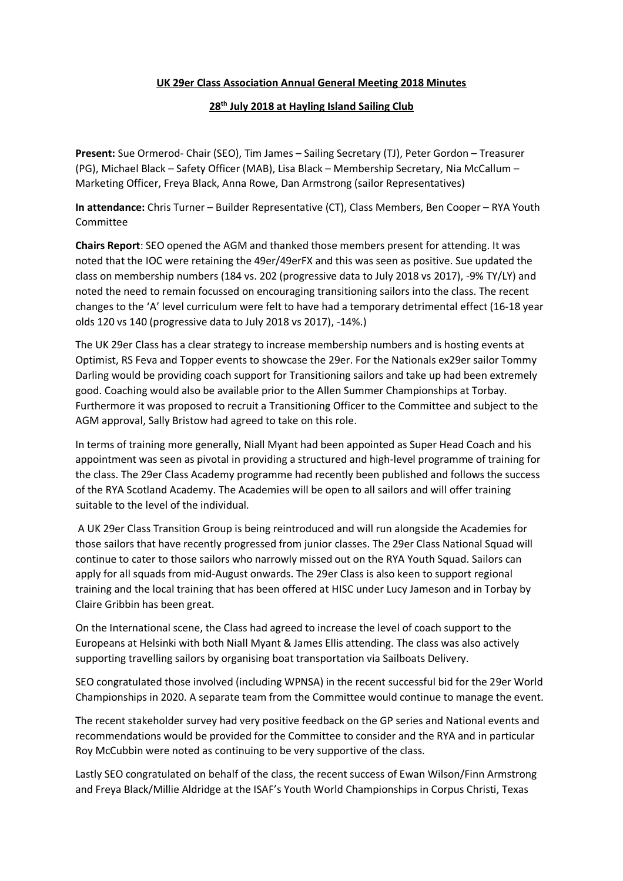## **UK 29er Class Association Annual General Meeting 2018 Minutes**

## **28th July 2018 at Hayling Island Sailing Club**

**Present:** Sue Ormerod- Chair (SEO), Tim James – Sailing Secretary (TJ), Peter Gordon – Treasurer (PG), Michael Black – Safety Officer (MAB), Lisa Black – Membership Secretary, Nia McCallum – Marketing Officer, Freya Black, Anna Rowe, Dan Armstrong (sailor Representatives)

**In attendance:** Chris Turner – Builder Representative (CT), Class Members, Ben Cooper – RYA Youth Committee

**Chairs Report**: SEO opened the AGM and thanked those members present for attending. It was noted that the IOC were retaining the 49er/49erFX and this was seen as positive. Sue updated the class on membership numbers (184 vs. 202 (progressive data to July 2018 vs 2017), -9% TY/LY) and noted the need to remain focussed on encouraging transitioning sailors into the class. The recent changes to the 'A' level curriculum were felt to have had a temporary detrimental effect (16-18 year olds 120 vs 140 (progressive data to July 2018 vs 2017), -14%.)

The UK 29er Class has a clear strategy to increase membership numbers and is hosting events at Optimist, RS Feva and Topper events to showcase the 29er. For the Nationals ex29er sailor Tommy Darling would be providing coach support for Transitioning sailors and take up had been extremely good. Coaching would also be available prior to the Allen Summer Championships at Torbay. Furthermore it was proposed to recruit a Transitioning Officer to the Committee and subject to the AGM approval, Sally Bristow had agreed to take on this role.

In terms of training more generally, Niall Myant had been appointed as Super Head Coach and his appointment was seen as pivotal in providing a structured and high-level programme of training for the class. The 29er Class Academy programme had recently been published and follows the success of the RYA Scotland Academy. The Academies will be open to all sailors and will offer training suitable to the level of the individual.

A UK 29er Class Transition Group is being reintroduced and will run alongside the Academies for those sailors that have recently progressed from junior classes. The 29er Class National Squad will continue to cater to those sailors who narrowly missed out on the RYA Youth Squad. Sailors can apply for all squads from mid-August onwards. The 29er Class is also keen to support regional training and the local training that has been offered at HISC under Lucy Jameson and in Torbay by Claire Gribbin has been great.

On the International scene, the Class had agreed to increase the level of coach support to the Europeans at Helsinki with both Niall Myant & James Ellis attending. The class was also actively supporting travelling sailors by organising boat transportation via Sailboats Delivery.

SEO congratulated those involved (including WPNSA) in the recent successful bid for the 29er World Championships in 2020. A separate team from the Committee would continue to manage the event.

The recent stakeholder survey had very positive feedback on the GP series and National events and recommendations would be provided for the Committee to consider and the RYA and in particular Roy McCubbin were noted as continuing to be very supportive of the class.

Lastly SEO congratulated on behalf of the class, the recent success of Ewan Wilson/Finn Armstrong and Freya Black/Millie Aldridge at the ISAF's Youth World Championships in Corpus Christi, Texas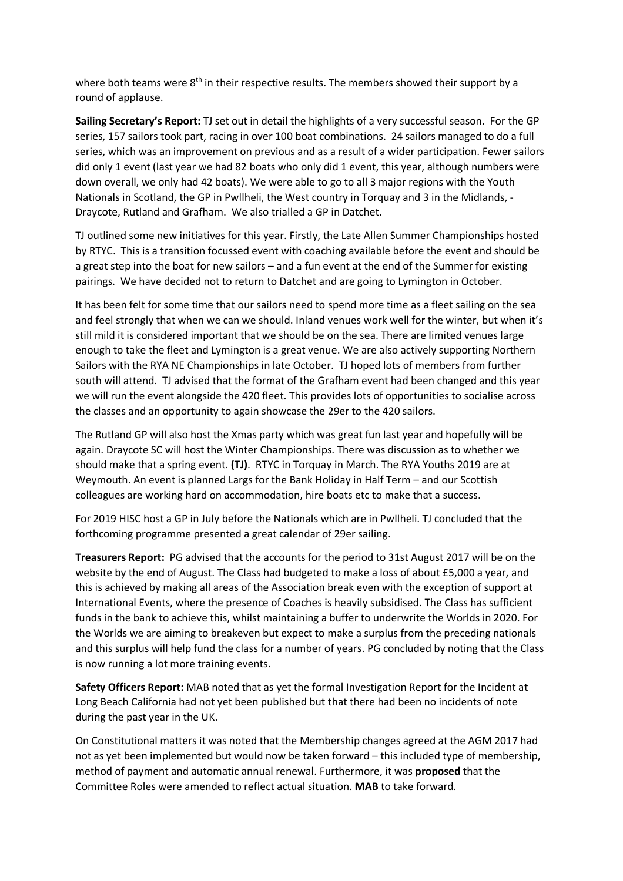where both teams were 8<sup>th</sup> in their respective results. The members showed their support by a round of applause.

**Sailing Secretary's Report:** TJ set out in detail the highlights of a very successful season. For the GP series, 157 sailors took part, racing in over 100 boat combinations. 24 sailors managed to do a full series, which was an improvement on previous and as a result of a wider participation. Fewer sailors did only 1 event (last year we had 82 boats who only did 1 event, this year, although numbers were down overall, we only had 42 boats). We were able to go to all 3 major regions with the Youth Nationals in Scotland, the GP in Pwllheli, the West country in Torquay and 3 in the Midlands, - Draycote, Rutland and Grafham. We also trialled a GP in Datchet.

TJ outlined some new initiatives for this year. Firstly, the Late Allen Summer Championships hosted by RTYC. This is a transition focussed event with coaching available before the event and should be a great step into the boat for new sailors – and a fun event at the end of the Summer for existing pairings. We have decided not to return to Datchet and are going to Lymington in October.

It has been felt for some time that our sailors need to spend more time as a fleet sailing on the sea and feel strongly that when we can we should. Inland venues work well for the winter, but when it's still mild it is considered important that we should be on the sea. There are limited venues large enough to take the fleet and Lymington is a great venue. We are also actively supporting Northern Sailors with the RYA NE Championships in late October. TJ hoped lots of members from further south will attend. TJ advised that the format of the Grafham event had been changed and this year we will run the event alongside the 420 fleet. This provides lots of opportunities to socialise across the classes and an opportunity to again showcase the 29er to the 420 sailors.

The Rutland GP will also host the Xmas party which was great fun last year and hopefully will be again. Draycote SC will host the Winter Championships. There was discussion as to whether we should make that a spring event. **(TJ)**. RTYC in Torquay in March. The RYA Youths 2019 are at Weymouth. An event is planned Largs for the Bank Holiday in Half Term – and our Scottish colleagues are working hard on accommodation, hire boats etc to make that a success.

For 2019 HISC host a GP in July before the Nationals which are in Pwllheli. TJ concluded that the forthcoming programme presented a great calendar of 29er sailing.

**Treasurers Report:** PG advised that the accounts for the period to 31st August 2017 will be on the website by the end of August. The Class had budgeted to make a loss of about £5,000 a year, and this is achieved by making all areas of the Association break even with the exception of support at International Events, where the presence of Coaches is heavily subsidised. The Class has sufficient funds in the bank to achieve this, whilst maintaining a buffer to underwrite the Worlds in 2020. For the Worlds we are aiming to breakeven but expect to make a surplus from the preceding nationals and this surplus will help fund the class for a number of years. PG concluded by noting that the Class is now running a lot more training events.

**Safety Officers Report:** MAB noted that as yet the formal Investigation Report for the Incident at Long Beach California had not yet been published but that there had been no incidents of note during the past year in the UK.

On Constitutional matters it was noted that the Membership changes agreed at the AGM 2017 had not as yet been implemented but would now be taken forward – this included type of membership, method of payment and automatic annual renewal. Furthermore, it was **proposed** that the Committee Roles were amended to reflect actual situation. **MAB** to take forward.